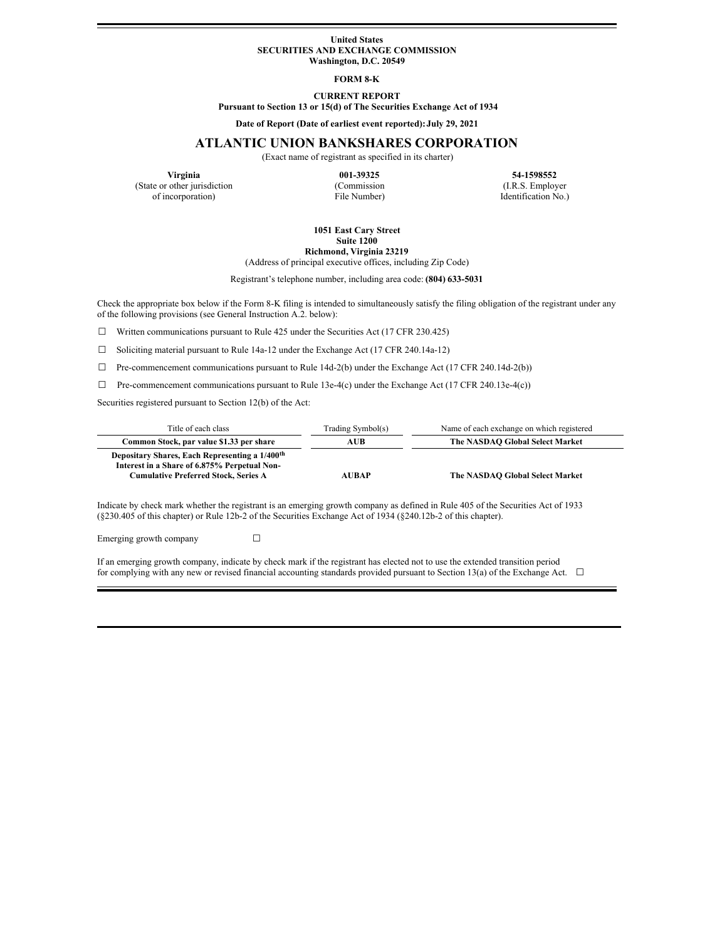#### **United States SECURITIES AND EXCHANGE COMMISSION Washington, D.C. 20549**

# **FORM 8-K**

**CURRENT REPORT Pursuant to Section 13 or 15(d) of The Securities Exchange Act of 1934**

**Date of Report (Date of earliest event reported):July 29, 2021**

# **ATLANTIC UNION BANKSHARES CORPORATION**

(Exact name of registrant as specified in its charter)

(State or other jurisdiction of incorporation) File Number) Identification No.)

**Virginia 121-1598552 121-1598552 121-21598552 121-21598552 121-21598552 121-21598552 121-21598552 121-21598552 121-21598552 121-21598552 121-21598552 121-21598552 121-21598552** 

#### **1051 East Cary Street Suite 1200 Richmond, Virginia 23219**

(Address of principal executive offices, including Zip Code)

Registrant's telephone number, including area code: **(804) 633-5031**

Check the appropriate box below if the Form 8-K filing is intended to simultaneously satisfy the filing obligation of the registrant under any of the following provisions (see General Instruction A.2. below):

 $\Box$  Written communications pursuant to Rule 425 under the Securities Act (17 CFR 230.425)

☐ Soliciting material pursuant to Rule 14a-12 under the Exchange Act (17 CFR 240.14a-12)

 $\Box$  Pre-commencement communications pursuant to Rule 14d-2(b) under the Exchange Act (17 CFR 240.14d-2(b))

 $\Box$  Pre-commencement communications pursuant to Rule 13e-4(c) under the Exchange Act (17 CFR 240.13e-4(c))

Securities registered pursuant to Section 12(b) of the Act:

| Title of each class                                                                                                                                       | Trading Symbol(s) | Name of each exchange on which registered |
|-----------------------------------------------------------------------------------------------------------------------------------------------------------|-------------------|-------------------------------------------|
| Common Stock, par value \$1.33 per share                                                                                                                  | AUB               | The NASDAO Global Select Market           |
| Depositary Shares, Each Representing a 1/400 <sup>th</sup><br>Interest in a Share of 6.875% Perpetual Non-<br><b>Cumulative Preferred Stock, Series A</b> | <b>AUBAP</b>      | The NASDAO Global Select Market           |

Indicate by check mark whether the registrant is an emerging growth company as defined in Rule 405 of the Securities Act of 1933 (§230.405 of this chapter) or Rule 12b-2 of the Securities Exchange Act of 1934 (§240.12b-2 of this chapter).

Emerging growth company  $\Box$ 

If an emerging growth company, indicate by check mark if the registrant has elected not to use the extended transition period for complying with any new or revised financial accounting standards provided pursuant to Section 13(a) of the Exchange Act.  $\Box$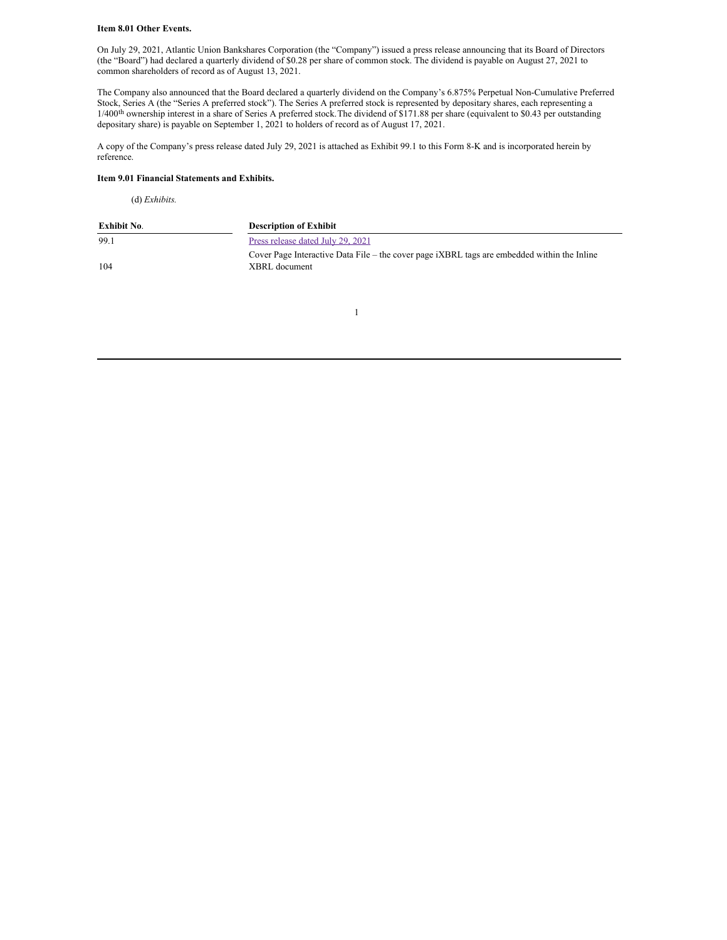#### **Item 8.01 Other Events.**

On July 29, 2021, Atlantic Union Bankshares Corporation (the "Company") issued a press release announcing that its Board of Directors (the "Board") had declared a quarterly dividend of \$0.28 per share of common stock. The dividend is payable on August 27, 2021 to common shareholders of record as of August 13, 2021.

The Company also announced that the Board declared a quarterly dividend on the Company's 6.875% Perpetual Non-Cumulative Preferred Stock, Series A (the "Series A preferred stock"). The Series A preferred stock is represented by depositary shares, each representing a 1/400<sup>th</sup> ownership interest in a share of Series A preferred stock. The dividend of \$171.88 per share (equivalent to \$0.43 per outstanding depositary share) is payable on September 1, 2021 to holders of record as of August 17, 2021.

A copy of the Company's press release dated July 29, 2021 is attached as Exhibit 99.1 to this Form 8-K and is incorporated herein by reference.

#### **Item 9.01 Financial Statements and Exhibits.**

(d) *Exhibits.*

| Exhibit No. | <b>Description of Exhibit</b>                                                                                |
|-------------|--------------------------------------------------------------------------------------------------------------|
| 99.1        | Press release dated July 29, 2021                                                                            |
| 104         | Cover Page Interactive Data File – the cover page iXBRL tags are embedded within the Inline<br>XBRL document |

1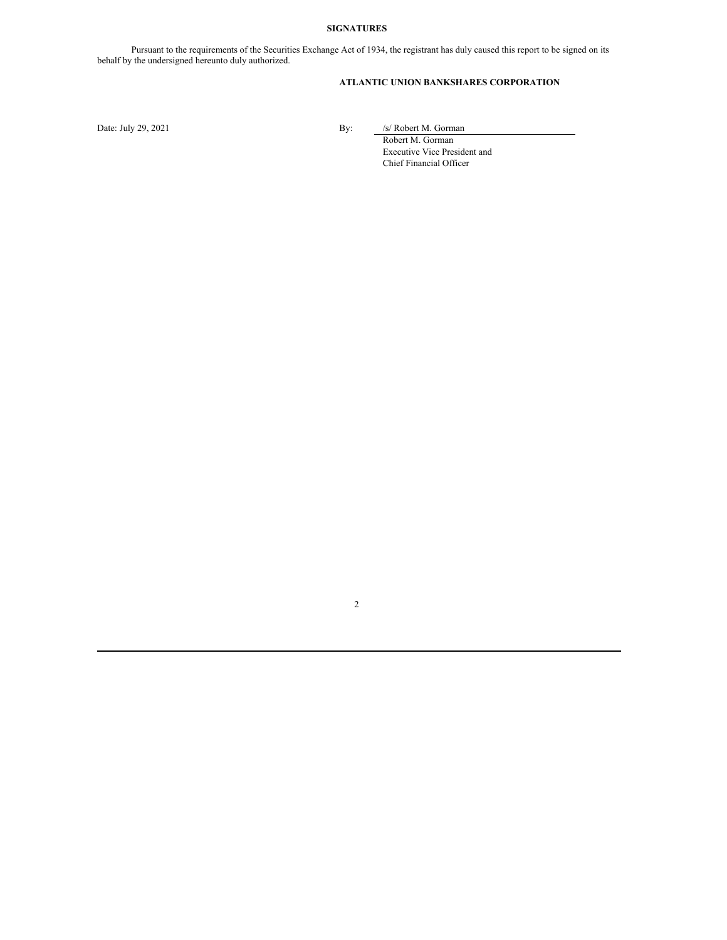### **SIGNATURES**

Pursuant to the requirements of the Securities Exchange Act of 1934, the registrant has duly caused this report to be signed on its behalf by the undersigned hereunto duly authorized.

# **ATLANTIC UNION BANKSHARES CORPORATION**

2

Date: July 29, 2021 By: /s/ Robert M. Gorman

Robert M. Gorman Executive Vice President and Chief Financial Officer